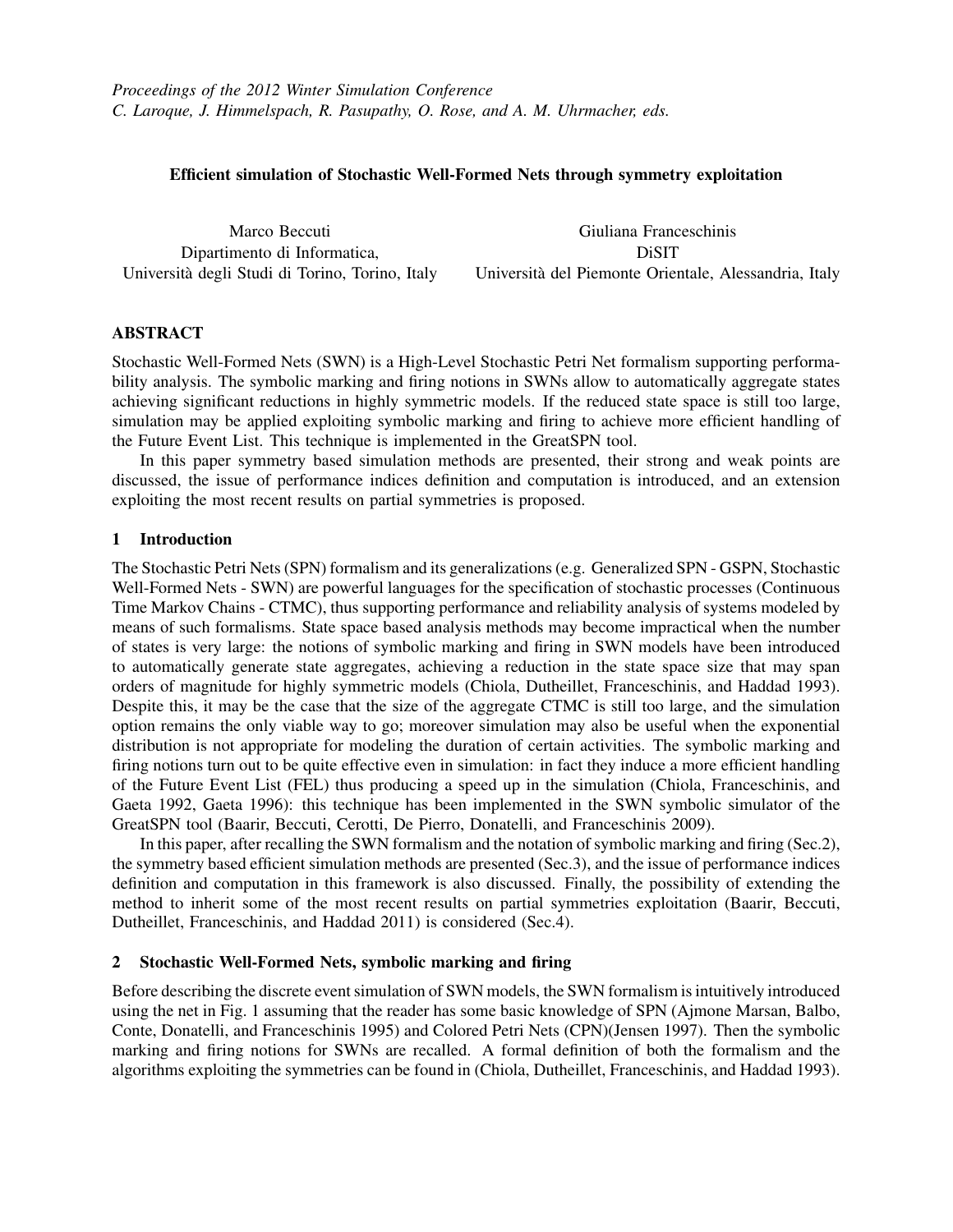# Efficient simulation of Stochastic Well-Formed Nets through symmetry exploitation

Marco Beccuti Dipartimento di Informatica, Universita degli Studi di Torino, Torino, Italy ` Giuliana Franceschinis DiSIT Universita del Piemonte Orientale, Alessandria, Italy `

# ABSTRACT

Stochastic Well-Formed Nets (SWN) is a High-Level Stochastic Petri Net formalism supporting performability analysis. The symbolic marking and firing notions in SWNs allow to automatically aggregate states achieving significant reductions in highly symmetric models. If the reduced state space is still too large, simulation may be applied exploiting symbolic marking and firing to achieve more efficient handling of the Future Event List. This technique is implemented in the GreatSPN tool.

In this paper symmetry based simulation methods are presented, their strong and weak points are discussed, the issue of performance indices definition and computation is introduced, and an extension exploiting the most recent results on partial symmetries is proposed.

# 1 Introduction

The Stochastic Petri Nets (SPN) formalism and its generalizations (e.g. Generalized SPN - GSPN, Stochastic Well-Formed Nets - SWN) are powerful languages for the specification of stochastic processes (Continuous Time Markov Chains - CTMC), thus supporting performance and reliability analysis of systems modeled by means of such formalisms. State space based analysis methods may become impractical when the number of states is very large: the notions of symbolic marking and firing in SWN models have been introduced to automatically generate state aggregates, achieving a reduction in the state space size that may span orders of magnitude for highly symmetric models [\(Chiola, Dutheillet, Franceschinis, and Haddad 1993\)](#page-12-0). Despite this, it may be the case that the size of the aggregate CTMC is still too large, and the simulation option remains the only viable way to go; moreover simulation may also be useful when the exponential distribution is not appropriate for modeling the duration of certain activities. The symbolic marking and firing notions turn out to be quite effective even in simulation: in fact they induce a more efficient handling of the Future Event List (FEL) thus producing a speed up in the simulation [\(Chiola, Franceschinis, and](#page-12-1) [Gaeta 1992,](#page-12-1) [Gaeta 1996\)](#page-12-2): this technique has been implemented in the SWN symbolic simulator of the GreatSPN tool [\(Baarir, Beccuti, Cerotti, De Pierro, Donatelli, and Franceschinis 2009\)](#page-12-3).

In this paper, after recalling the SWN formalism and the notation of symbolic marking and firing (Sec[.2\)](#page-0-0), the symmetry based efficient simulation methods are presented (Sec[.3\)](#page-3-0), and the issue of performance indices definition and computation in this framework is also discussed. Finally, the possibility of extending the method to inherit some of the most recent results on partial symmetries exploitation [\(Baarir, Beccuti,](#page-12-4) [Dutheillet, Franceschinis, and Haddad 2011\)](#page-12-4) is considered (Sec[.4\)](#page-7-0).

# <span id="page-0-0"></span>2 Stochastic Well-Formed Nets, symbolic marking and firing

Before describing the discrete event simulation of SWN models, the SWN formalism is intuitively introduced using the net in Fig. [1](#page-1-0) assuming that the reader has some basic knowledge of SPN [\(Ajmone Marsan, Balbo,](#page-12-5) [Conte, Donatelli, and Franceschinis 1995\)](#page-12-5) and Colored Petri Nets (CPN)[\(Jensen 1997\)](#page-12-6). Then the symbolic marking and firing notions for SWNs are recalled. A formal definition of both the formalism and the algorithms exploiting the symmetries can be found in [\(Chiola, Dutheillet, Franceschinis, and Haddad 1993\)](#page-12-0).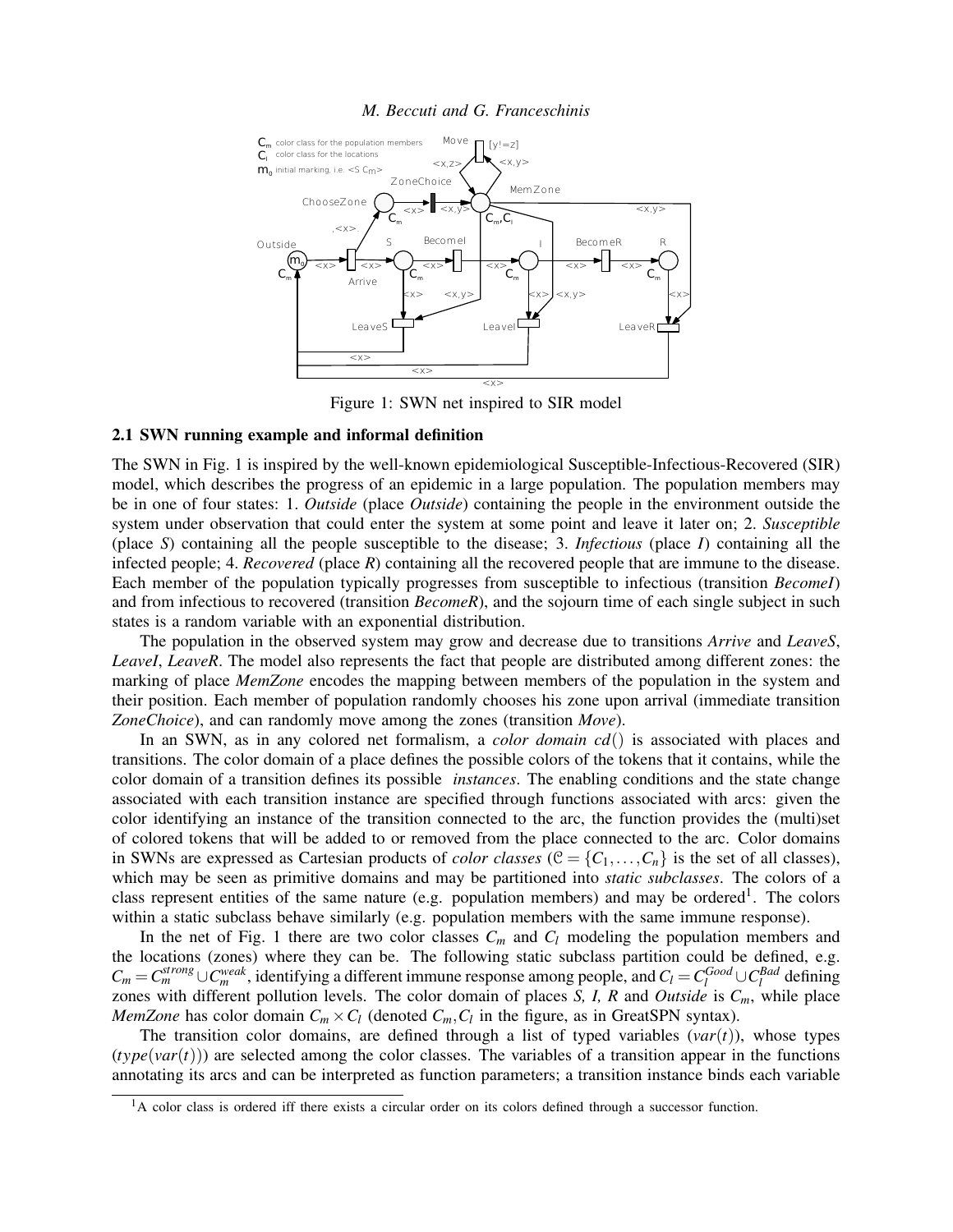



<span id="page-1-0"></span>Figure 1: SWN net inspired to SIR model

### 2.1 SWN running example and informal definition

The SWN in Fig. [1](#page-1-0) is inspired by the well-known epidemiological Susceptible-Infectious-Recovered (SIR) model, which describes the progress of an epidemic in a large population. The population members may be in one of four states: 1. *Outside* (place *Outside*) containing the people in the environment outside the system under observation that could enter the system at some point and leave it later on; 2. *Susceptible* (place *S*) containing all the people susceptible to the disease; 3. *Infectious* (place *I*) containing all the infected people; 4. *Recovered* (place *R*) containing all the recovered people that are immune to the disease. Each member of the population typically progresses from susceptible to infectious (transition *BecomeI*) and from infectious to recovered (transition *BecomeR*), and the sojourn time of each single subject in such states is a random variable with an exponential distribution.

The population in the observed system may grow and decrease due to transitions *Arrive* and *LeaveS*, *LeaveI*, *LeaveR*. The model also represents the fact that people are distributed among different zones: the marking of place *MemZone* encodes the mapping between members of the population in the system and their position. Each member of population randomly chooses his zone upon arrival (immediate transition *ZoneChoice*), and can randomly move among the zones (transition *Move*).

In an SWN, as in any colored net formalism, a *color domain cd*() is associated with places and transitions. The color domain of a place defines the possible colors of the tokens that it contains, while the color domain of a transition defines its possible *instances*. The enabling conditions and the state change associated with each transition instance are specified through functions associated with arcs: given the color identifying an instance of the transition connected to the arc, the function provides the (multi)set of colored tokens that will be added to or removed from the place connected to the arc. Color domains in SWNs are expressed as Cartesian products of *color classes* ( $C = \{C_1, \ldots, C_n\}$  is the set of all classes), which may be seen as primitive domains and may be partitioned into *static subclasses*. The colors of a class represent entities of the same nature (e.g. population members) and may be ordered<sup>[1](#page-1-1)</sup>. The colors within a static subclass behave similarly (e.g. population members with the same immune response).

In the net of Fig. [1](#page-1-0) there are two color classes  $C_m$  and  $C_l$  modeling the population members and the locations (zones) where they can be. The following static subclass partition could be defined, e.g.  $C_m = C_m^{strong} \cup C_m^{weak}$ , identifying a different immune response among people, and  $C_l = C_l^{Good} \cup C_l^{Bad}$  defining zones with different pollution levels. The color domain of places *S, I, R* and *Outside* is *Cm*, while place *MemZone* has color domain  $C_m \times C_l$  (denoted  $C_m, C_l$  in the figure, as in GreatSPN syntax).

The transition color domains, are defined through a list of typed variables  $(var(t))$ , whose types  $(type(var(t)))$  are selected among the color classes. The variables of a transition appear in the functions annotating its arcs and can be interpreted as function parameters; a transition instance binds each variable

<span id="page-1-1"></span><sup>&</sup>lt;sup>1</sup>A color class is ordered iff there exists a circular order on its colors defined through a successor function.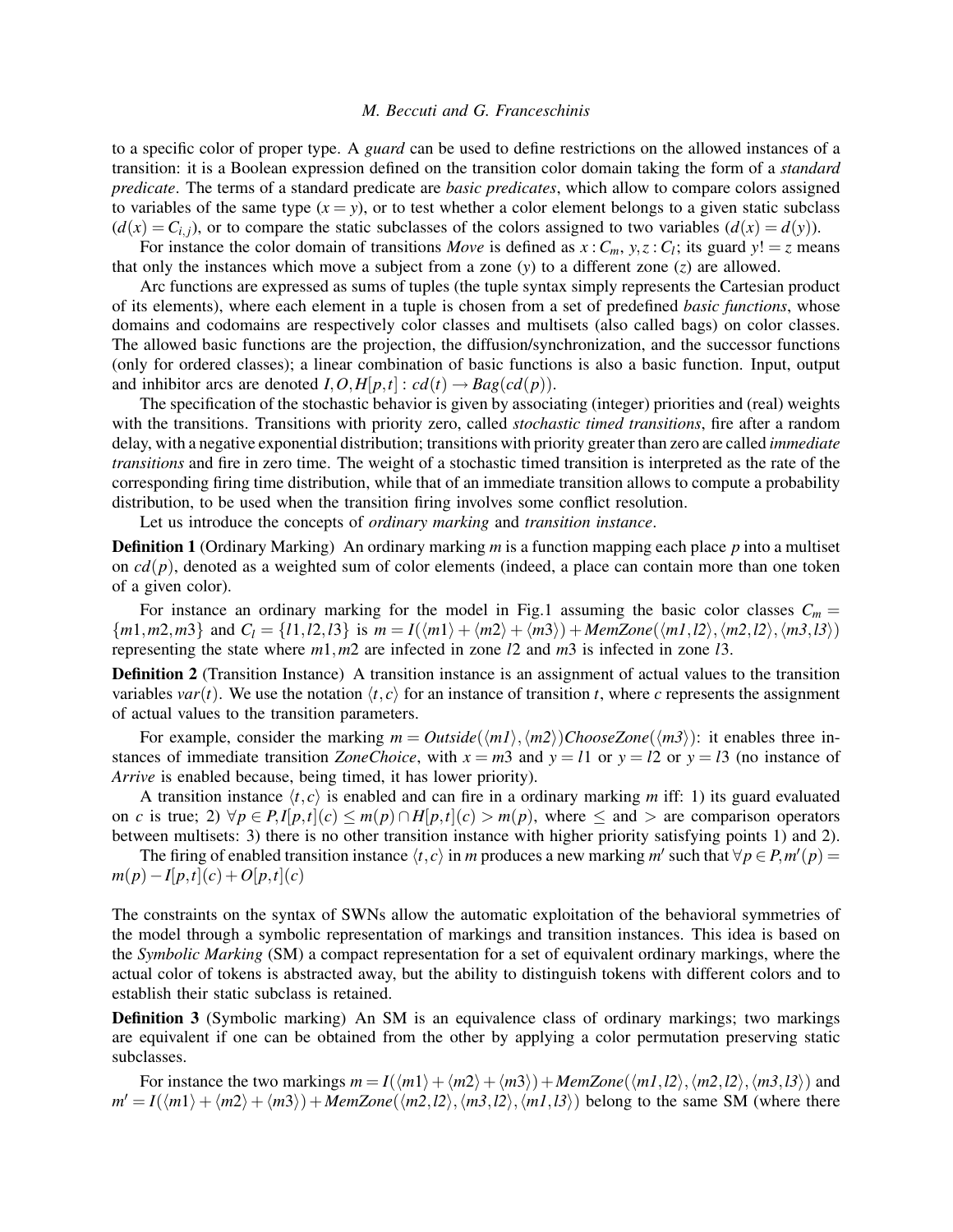to a specific color of proper type. A *guard* can be used to define restrictions on the allowed instances of a transition: it is a Boolean expression defined on the transition color domain taking the form of a *standard predicate*. The terms of a standard predicate are *basic predicates*, which allow to compare colors assigned to variables of the same type  $(x = y)$ , or to test whether a color element belongs to a given static subclass  $(d(x) = C_i)$ , or to compare the static subclasses of the colors assigned to two variables  $(d(x) = d(y))$ .

For instance the color domain of transitions *Move* is defined as  $x : C_m$ ,  $y, z : C_l$ ; its guard  $y! = z$  means that only the instances which move a subject from a zone (*y*) to a different zone (*z*) are allowed.

Arc functions are expressed as sums of tuples (the tuple syntax simply represents the Cartesian product of its elements), where each element in a tuple is chosen from a set of predefined *basic functions*, whose domains and codomains are respectively color classes and multisets (also called bags) on color classes. The allowed basic functions are the projection, the diffusion/synchronization, and the successor functions (only for ordered classes); a linear combination of basic functions is also a basic function. Input, output and inhibitor arcs are denoted  $I, O, H[p, t]$ :  $cd(t) \rightarrow Bag(cd(p))$ .

The specification of the stochastic behavior is given by associating (integer) priorities and (real) weights with the transitions. Transitions with priority zero, called *stochastic timed transitions*, fire after a random delay, with a negative exponential distribution; transitions with priority greater than zero are called *immediate transitions* and fire in zero time. The weight of a stochastic timed transition is interpreted as the rate of the corresponding firing time distribution, while that of an immediate transition allows to compute a probability distribution, to be used when the transition firing involves some conflict resolution.

Let us introduce the concepts of *ordinary marking* and *transition instance*.

Definition 1 (Ordinary Marking) An ordinary marking *m* is a function mapping each place *p* into a multiset on  $cd(p)$ , denoted as a weighted sum of color elements (indeed, a place can contain more than one token of a given color).

For instance an ordinary marking for the model in Fig[.1](#page-1-0) assuming the basic color classes  $C_m$  =  $\{m1,m2,m3\}$  and  $C_l = \{l1,l2,l3\}$  is  $m = I(\langle m1 \rangle + \langle m2 \rangle + \langle m3 \rangle) + MemZone(\langle m1,l2 \rangle, \langle m2,l2 \rangle, \langle m3,l3 \rangle)$ representing the state where *m*1,*m*2 are infected in zone *l*2 and *m*3 is infected in zone *l*3.

Definition 2 (Transition Instance) A transition instance is an assignment of actual values to the transition variables  $var(t)$ . We use the notation  $\langle t, c \rangle$  for an instance of transition *t*, where *c* represents the assignment of actual values to the transition parameters.

For example, consider the marking  $m = Outside(\langle m1 \rangle, \langle m2 \rangle)ChooseZone(\langle m3 \rangle)$ : it enables three instances of immediate transition *ZoneChoice*, with  $x = m3$  and  $y = l1$  or  $y = l2$  or  $y = l3$  (no instance of *Arrive* is enabled because, being timed, it has lower priority).

A transition instance  $\langle t, c \rangle$  is enabled and can fire in a ordinary marking *m* iff: 1) its guard evaluated on *c* is true; 2)  $\forall p \in P$ ,  $I[p,t](c) \leq m(p) \cap H[p,t](c) > m(p)$ , where  $\leq$  and  $>$  are comparison operators between multisets: 3) there is no other transition instance with higher priority satisfying points 1) and 2).

The firing of enabled transition instance  $\langle t, c \rangle$  in *m* produces a new marking *m*' such that  $\forall p \in P, m'(p) =$  $m(p) - I[p,t](c) + O[p,t](c)$ 

The constraints on the syntax of SWNs allow the automatic exploitation of the behavioral symmetries of the model through a symbolic representation of markings and transition instances. This idea is based on the *Symbolic Marking* (SM) a compact representation for a set of equivalent ordinary markings, where the actual color of tokens is abstracted away, but the ability to distinguish tokens with different colors and to establish their static subclass is retained.

**Definition 3** (Symbolic marking) An SM is an equivalence class of ordinary markings; two markings are equivalent if one can be obtained from the other by applying a color permutation preserving static subclasses.

For instance the two markings  $m = I(\langle m1 \rangle + \langle m2 \rangle + \langle m3 \rangle) + MemZone(\langle m1, l2 \rangle, \langle m2, l2 \rangle, \langle m3, l3 \rangle)$  and  $m' = I(\langle m1 \rangle + \langle m2 \rangle + \langle m3 \rangle) + MemZone(\langle m2, l2 \rangle, \langle m3, l2 \rangle, \langle m1, l3 \rangle)$  belong to the same SM (where there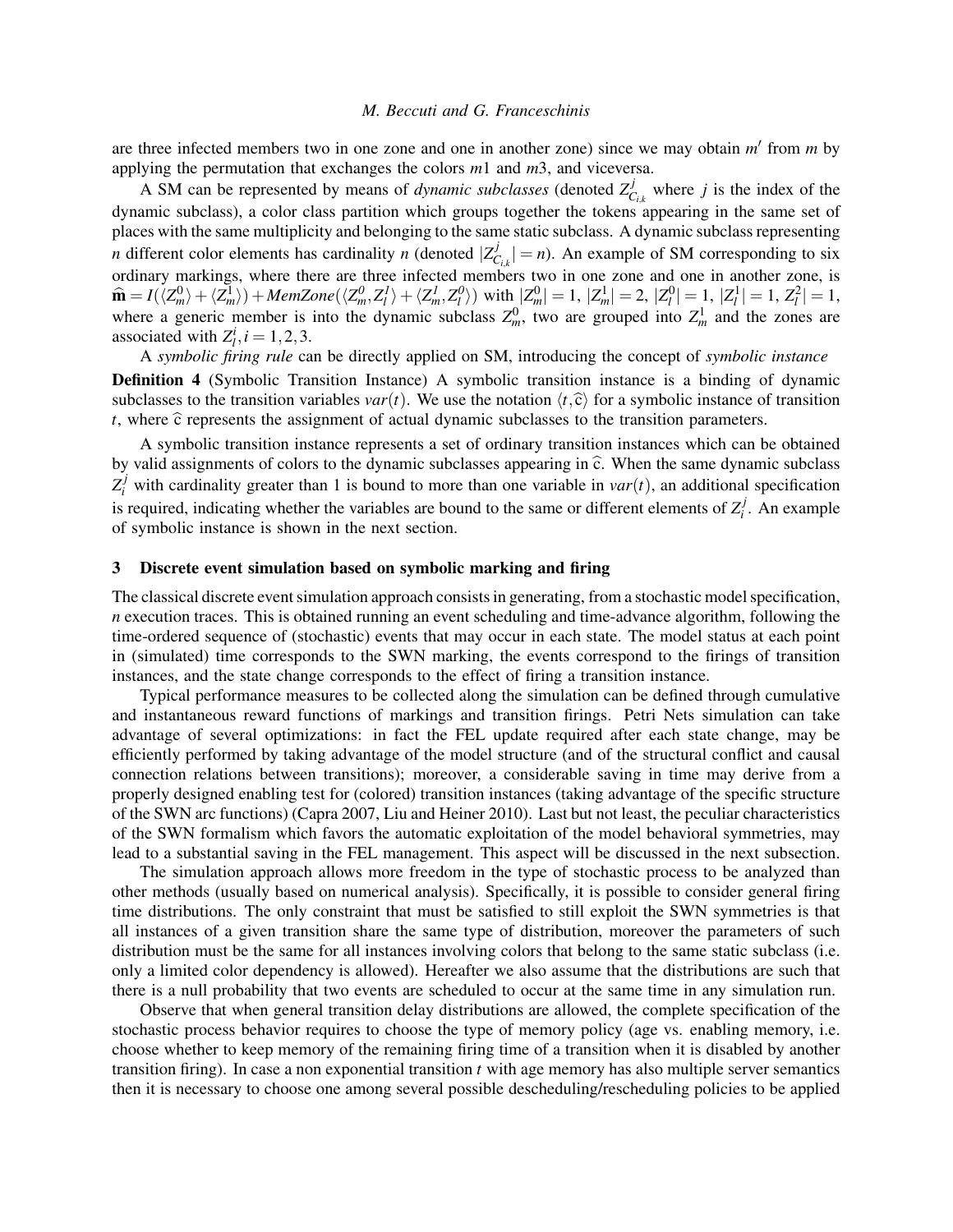are three infected members two in one zone and one in another zone) since we may obtain m' from m by applying the permutation that exchanges the colors *m*1 and *m*3, and viceversa.

A SM can be represented by means of *dynamic subclasses* (denoted  $Z_C^j$  $C_{i,k}$ <sup>*J*</sup> where *j* is the index of the dynamic subclass), a color class partition which groups together the tokens appearing in the same set of places with the same multiplicity and belonging to the same static subclass. A dynamic subclass representing *n* different color elements has cardinality *n* (denoted  $|Z_i^j$ )  $C_{i,k}$ <sup>*I*</sup> = *n*). An example of SM corresponding to six ordinary markings, where there are three infected members two in one zone and one in another zone, is  $\hat{\mathbf{m}} = I(\langle Z_0^0 \rangle + \langle Z_1^1 \rangle) + MemZone(\langle Z_0^0, Z_1^1 \rangle + \langle Z_0^1, Z_1^0 \rangle)$  with  $|Z_0^0| = 1$ ,  $|Z_0^1| = 2$ ,  $|Z_0^0| = 1$ ,  $|Z_1^1| = 1$ ,  $Z_1^2| = 1$ ,  $|Z_1^1| = 1$ ,  $Z_1^2| = 1$ , where a gravital member is juta the dynamic subgles where a generic member is into the dynamic subclass  $Z_m^0$ , two are grouped into  $Z_m^1$  and the zones are associated with  $Z_i^i$ ,  $i = 1, 2, 3$ .

A *symbolic firing rule* can be directly applied on SM, introducing the concept of *symbolic instance* Definition 4 (Symbolic Transition Instance) A symbolic transition instance is a binding of dynamic subclasses to the transition variables *var*(*t*). We use the notation  $\langle t, \hat{c} \rangle$  for a symbolic instance of transition  $t$ , where  $\hat{c}$  represents the assignment of actual dynamic subclasses to the transition parameters.

A symbolic transition instance represents a set of ordinary transition instances which can be obtained by valid assignments of colors to the dynamic subclasses appearing in  $\hat{c}$ . When the same dynamic subclass  $Z_i^j$  with cardinality greater than 1 is bound to more than one variable in *var*(*t*), an additional specification is required, indicating whether the variables are bound to the same or different elements of  $Z_i^j$ *i* . An example of symbolic instance is shown in the next section.

# <span id="page-3-0"></span>3 Discrete event simulation based on symbolic marking and firing

The classical discrete event simulation approach consists in generating, from a stochastic model specification, *n* execution traces. This is obtained running an event scheduling and time-advance algorithm, following the time-ordered sequence of (stochastic) events that may occur in each state. The model status at each point in (simulated) time corresponds to the SWN marking, the events correspond to the firings of transition instances, and the state change corresponds to the effect of firing a transition instance.

Typical performance measures to be collected along the simulation can be defined through cumulative and instantaneous reward functions of markings and transition firings. Petri Nets simulation can take advantage of several optimizations: in fact the FEL update required after each state change, may be efficiently performed by taking advantage of the model structure (and of the structural conflict and causal connection relations between transitions); moreover, a considerable saving in time may derive from a properly designed enabling test for (colored) transition instances (taking advantage of the specific structure of the SWN arc functions) [\(Capra 2007,](#page-12-7) [Liu and Heiner 2010\)](#page-12-8). Last but not least, the peculiar characteristics of the SWN formalism which favors the automatic exploitation of the model behavioral symmetries, may lead to a substantial saving in the FEL management. This aspect will be discussed in the next subsection.

The simulation approach allows more freedom in the type of stochastic process to be analyzed than other methods (usually based on numerical analysis). Specifically, it is possible to consider general firing time distributions. The only constraint that must be satisfied to still exploit the SWN symmetries is that all instances of a given transition share the same type of distribution, moreover the parameters of such distribution must be the same for all instances involving colors that belong to the same static subclass (i.e. only a limited color dependency is allowed). Hereafter we also assume that the distributions are such that there is a null probability that two events are scheduled to occur at the same time in any simulation run.

Observe that when general transition delay distributions are allowed, the complete specification of the stochastic process behavior requires to choose the type of memory policy (age vs. enabling memory, i.e. choose whether to keep memory of the remaining firing time of a transition when it is disabled by another transition firing). In case a non exponential transition *t* with age memory has also multiple server semantics then it is necessary to choose one among several possible descheduling/rescheduling policies to be applied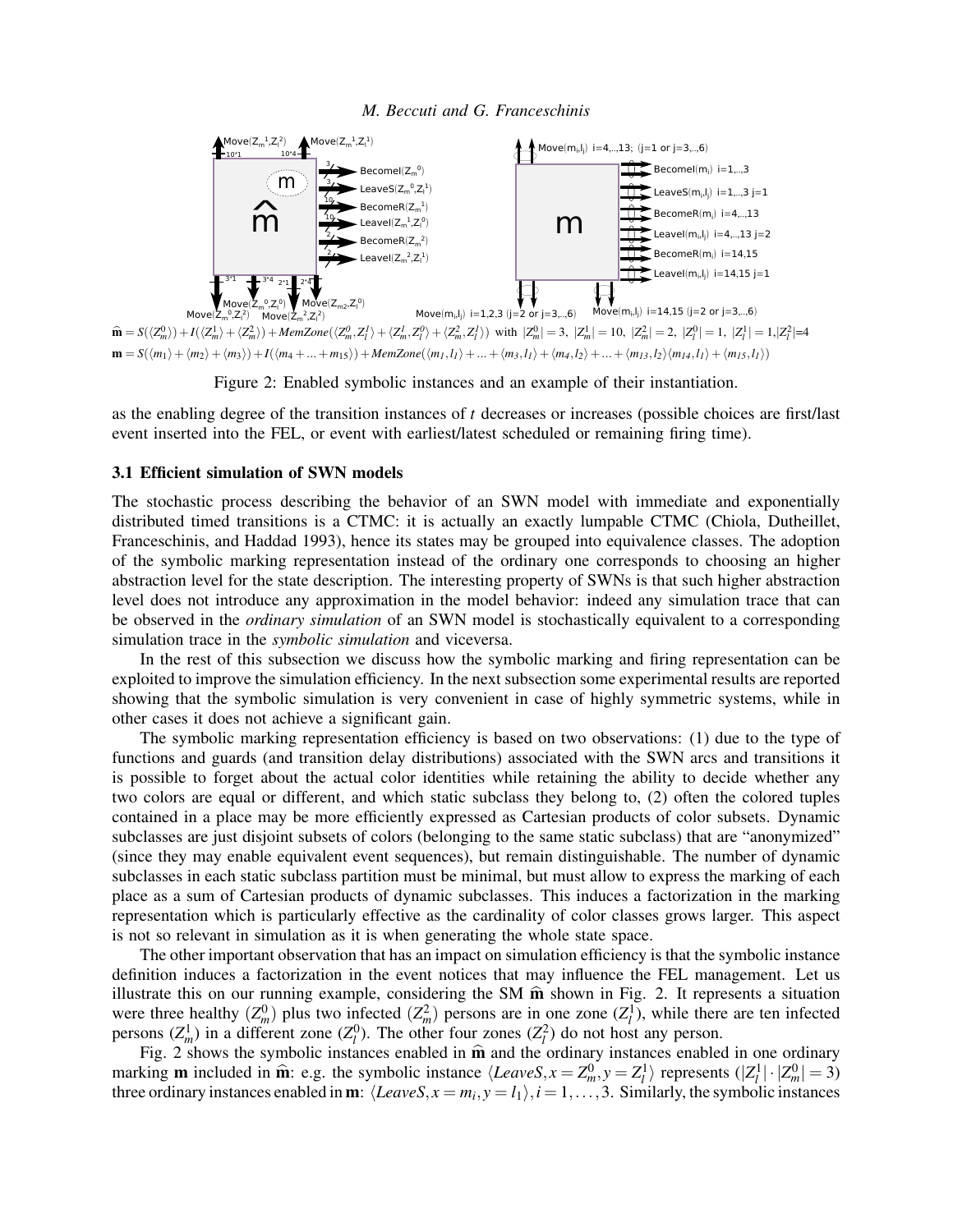

<span id="page-4-0"></span>Figure 2: Enabled symbolic instances and an example of their instantiation.

as the enabling degree of the transition instances of *t* decreases or increases (possible choices are first/last event inserted into the FEL, or event with earliest/latest scheduled or remaining firing time).

### 3.1 Efficient simulation of SWN models

The stochastic process describing the behavior of an SWN model with immediate and exponentially distributed timed transitions is a CTMC: it is actually an exactly lumpable CTMC [\(Chiola, Dutheillet,](#page-12-0) [Franceschinis, and Haddad 1993\)](#page-12-0), hence its states may be grouped into equivalence classes. The adoption of the symbolic marking representation instead of the ordinary one corresponds to choosing an higher abstraction level for the state description. The interesting property of SWNs is that such higher abstraction level does not introduce any approximation in the model behavior: indeed any simulation trace that can be observed in the *ordinary simulation* of an SWN model is stochastically equivalent to a corresponding simulation trace in the *symbolic simulation* and viceversa.

In the rest of this subsection we discuss how the symbolic marking and firing representation can be exploited to improve the simulation efficiency. In the next subsection some experimental results are reported showing that the symbolic simulation is very convenient in case of highly symmetric systems, while in other cases it does not achieve a significant gain.

The symbolic marking representation efficiency is based on two observations: (1) due to the type of functions and guards (and transition delay distributions) associated with the SWN arcs and transitions it is possible to forget about the actual color identities while retaining the ability to decide whether any two colors are equal or different, and which static subclass they belong to, (2) often the colored tuples contained in a place may be more efficiently expressed as Cartesian products of color subsets. Dynamic subclasses are just disjoint subsets of colors (belonging to the same static subclass) that are "anonymized" (since they may enable equivalent event sequences), but remain distinguishable. The number of dynamic subclasses in each static subclass partition must be minimal, but must allow to express the marking of each place as a sum of Cartesian products of dynamic subclasses. This induces a factorization in the marking representation which is particularly effective as the cardinality of color classes grows larger. This aspect is not so relevant in simulation as it is when generating the whole state space.

The other important observation that has an impact on simulation efficiency is that the symbolic instance definition induces a factorization in the event notices that may influence the FEL management. Let us illustrate this on our running example, considering the SM  $\hat{\mathbf{m}}$  shown in Fig. [2.](#page-4-0) It represents a situation were three healthy  $(Z_m^0)$  plus two infected  $(Z_m^2)$  persons are in one zone  $(Z_l^1)$ , while there are ten infected persons  $(Z_m^1)$  in a different zone  $(Z_l^0)$ . The other four zones  $(Z_l^2)$  do not host any person.

Fig. [2](#page-4-0) shows the symbolic instances enabled in  $\hat{\mathbf{m}}$  and the ordinary instances enabled in one ordinary marking **m** included in  $\hat{\mathbf{m}}$ : e.g. the symbolic instance  $\langle Leaves, x = Z_n^0, y = Z_t^1 \rangle$  represents  $(|Z_t^1| \cdot |Z_m^0| = 3)$ <br>three ordinary instances enabled in  $\mathbf{m}$ :  $\langle Leaves, x = m, y = L \rangle$ ,  $i = 1, 3$ . Similarly, the symbolic inst three ordinary instances enabled in **m**:  $\langle Leaves, x = m_i, y = l_1 \rangle, i = 1, ..., 3$ . Similarly, the symbolic instances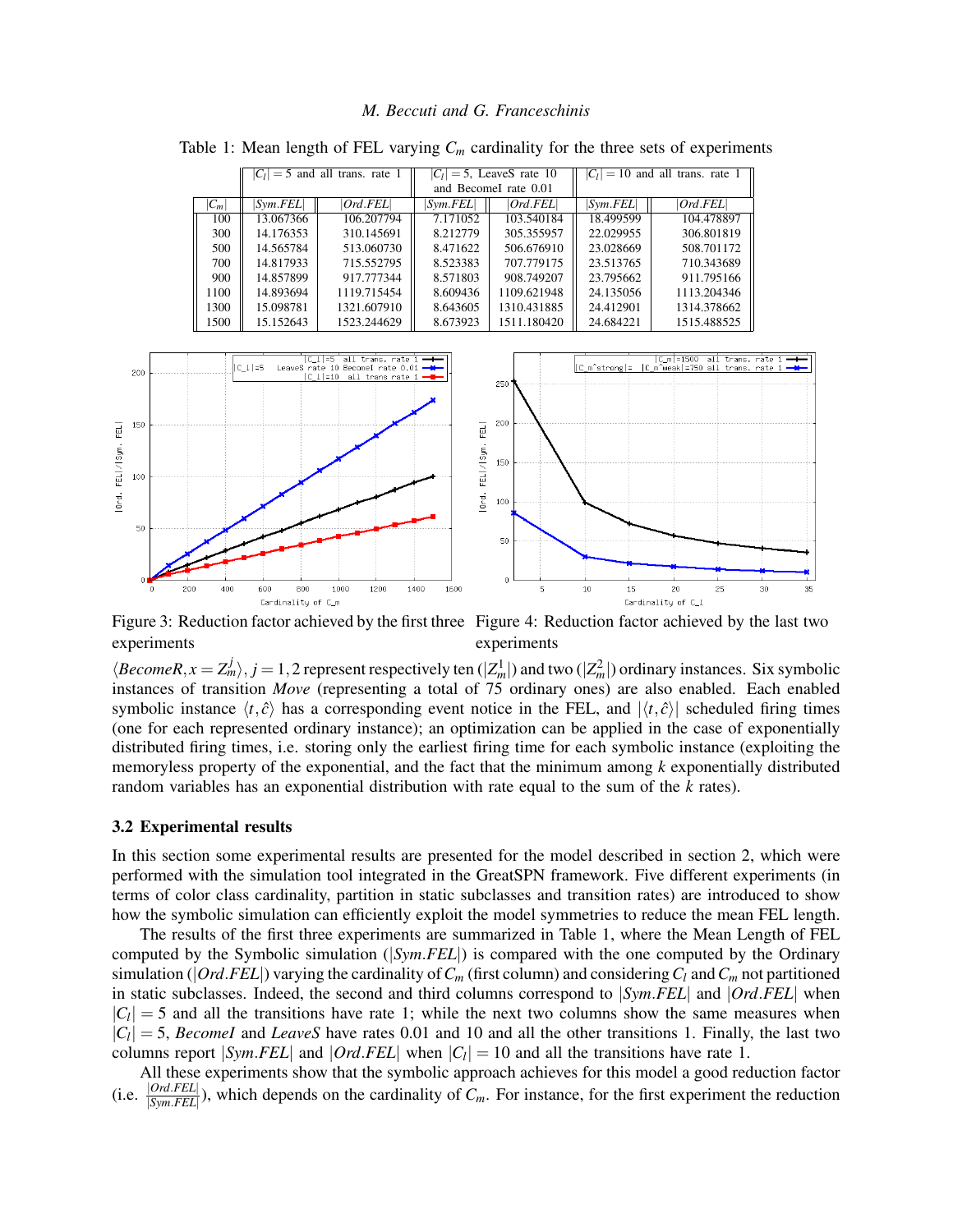<span id="page-5-0"></span>

|         | $ C_1  = 5$ and all trans. rate 1 |             | $ C_1  = 5$ , LeaveS rate 10 |             | $ C_1  = 10$ and all trans. rate 1 |             |
|---------|-----------------------------------|-------------|------------------------------|-------------|------------------------------------|-------------|
|         |                                   |             | and BecomeI rate 0.01        |             |                                    |             |
| $ C_m $ | Sym. FEL                          | Ord.FEL     | Sym. FEL                     | Ord.FEL     | Sym. FEL                           | Ord.FEL     |
| 100     | 13.067366                         | 106.207794  | 7.171052                     | 103.540184  | 18.499599                          | 104.478897  |
| 300     | 14.176353                         | 310.145691  | 8.212779                     | 305.355957  | 22.029955                          | 306.801819  |
| 500     | 14.565784                         | 513.060730  | 8.471622                     | 506.676910  | 23.028669                          | 508.701172  |
| 700     | 14.817933                         | 715.552795  | 8.523383                     | 707.779175  | 23.513765                          | 710.343689  |
| 900     | 14.857899                         | 917.777344  | 8.571803                     | 908.749207  | 23.795662                          | 911.795166  |
| 1100    | 14.893694                         | 1119.715454 | 8.609436                     | 1109.621948 | 24.135056                          | 1113.204346 |
| 1300    | 15.098781                         | 1321.607910 | 8.643605                     | 1310.431885 | 24.412901                          | 1314.378662 |
| 1500    | 15.152643                         | 1523.244629 | 8.673923                     | 1511.180420 | 24.684221                          | 1515.488525 |

Table 1: Mean length of FEL varying  $C_m$  cardinality for the three sets of experiments



<span id="page-5-2"></span><span id="page-5-1"></span>Figure 3: Reduction factor achieved by the first three Figure 4: Reduction factor achieved by the last two experiments experiments

 $\langle BecomeR, x = Z_m^j \rangle$ ,  $j = 1, 2$  represent respectively ten  $(|Z_m^1|)$  and two  $(|Z_m^2|)$  ordinary instances. Six symbolic instances of transition *Move* (representing a total of 75 ordinary ones) are also enabled. Each enabled symbolic instance  $\langle t, \hat{c} \rangle$  has a corresponding event notice in the FEL, and  $|\langle t, \hat{c} \rangle|$  scheduled firing times (one for each represented ordinary instance); an optimization can be applied in the case of exponentially distributed firing times, i.e. storing only the earliest firing time for each symbolic instance (exploiting the memoryless property of the exponential, and the fact that the minimum among *k* exponentially distributed random variables has an exponential distribution with rate equal to the sum of the *k* rates).

### 3.2 Experimental results

In this section some experimental results are presented for the model described in section [2,](#page-0-0) which were performed with the simulation tool integrated in the GreatSPN framework. Five different experiments (in terms of color class cardinality, partition in static subclasses and transition rates) are introduced to show how the symbolic simulation can efficiently exploit the model symmetries to reduce the mean FEL length.

The results of the first three experiments are summarized in Table [1,](#page-5-0) where the Mean Length of FEL computed by the Symbolic simulation (|*Sym*.*FEL*|) is compared with the one computed by the Ordinary simulation ( $|Ord.FEL|$ ) varying the cardinality of  $C_m$  (first column) and considering  $C_l$  and  $C_m$  not partitioned in static subclasses. Indeed, the second and third columns correspond to |*Sym*.*FEL*| and |*Ord*.*FEL*| when  $|C_l| = 5$  and all the transitions have rate 1; while the next two columns show the same measures when  $|C_l| = 5$ , *BecomeI* and *LeaveS* have rates 0.01 and 10 and all the other transitions 1. Finally, the last two columns report  $|Sym. FEL|$  and  $|Ord. FEL|$  when  $|C_l| = 10$  and all the transitions have rate 1.

All these experiments show that the symbolic approach achieves for this model a good reduction factor (i.e.  $\frac{|Ord.FEL|}{|Sym.FEL|}$ ), which depends on the cardinality of  $C_m$ . For instance, for the first experiment the reduction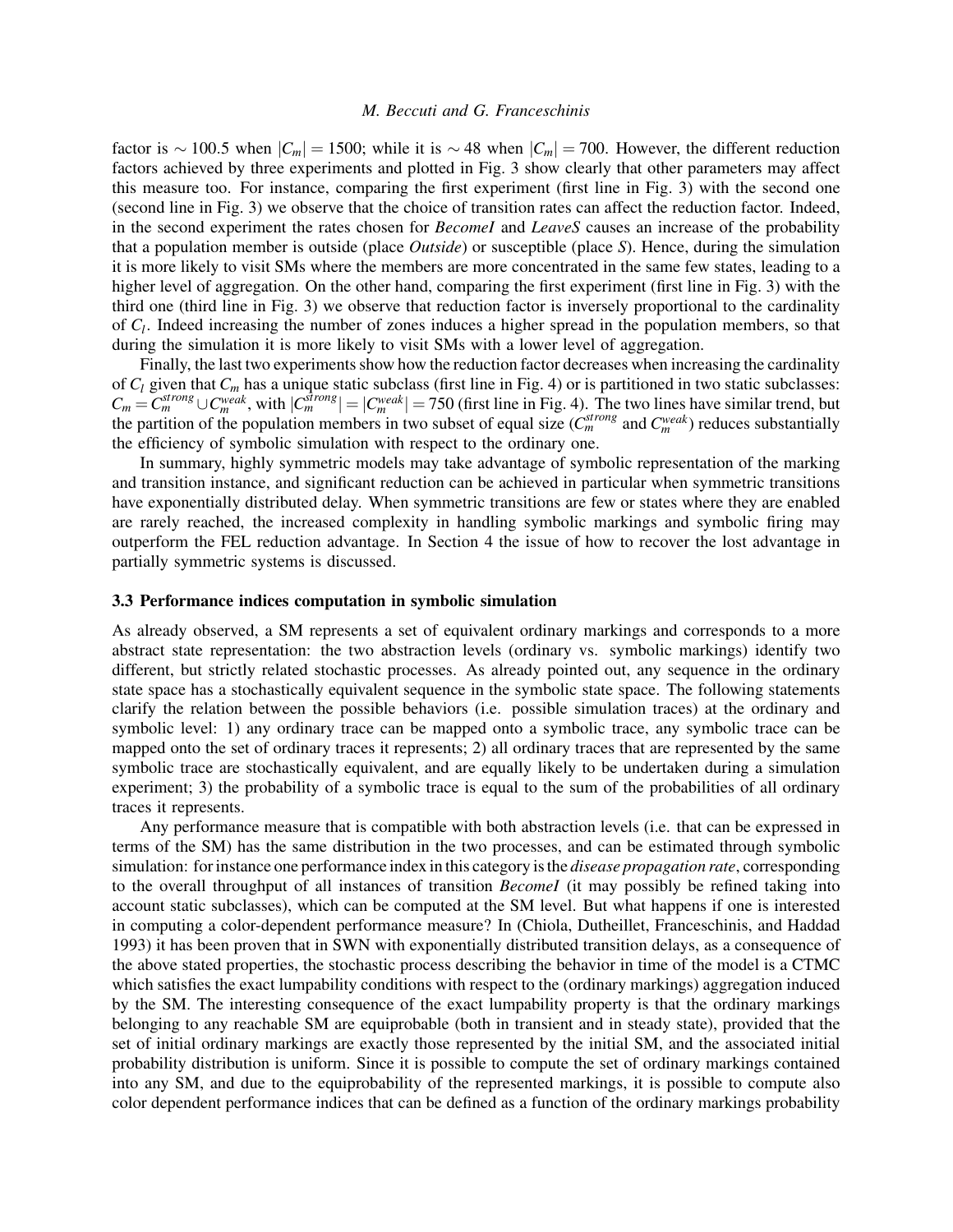factor is ~ 100.5 when  $|C_m|$  = 1500; while it is ~ 48 when  $|C_m|$  = 700. However, the different reduction factors achieved by three experiments and plotted in Fig. [3](#page-5-1) show clearly that other parameters may affect this measure too. For instance, comparing the first experiment (first line in Fig. [3\)](#page-5-1) with the second one (second line in Fig. [3\)](#page-5-1) we observe that the choice of transition rates can affect the reduction factor. Indeed, in the second experiment the rates chosen for *BecomeI* and *LeaveS* causes an increase of the probability that a population member is outside (place *Outside*) or susceptible (place *S*). Hence, during the simulation it is more likely to visit SMs where the members are more concentrated in the same few states, leading to a higher level of aggregation. On the other hand, comparing the first experiment (first line in Fig. [3\)](#page-5-1) with the third one (third line in Fig. [3\)](#page-5-1) we observe that reduction factor is inversely proportional to the cardinality of *C<sup>l</sup>* . Indeed increasing the number of zones induces a higher spread in the population members, so that during the simulation it is more likely to visit SMs with a lower level of aggregation.

Finally, the last two experiments show how the reduction factor decreases when increasing the cardinality of  $C_l$  given that  $C_m$  has a unique static subclass (first line in Fig. [4\)](#page-5-2) or is partitioned in two static subclasses:  $C_m = C_m^{strong} \cup C_m^{weak}$ , with  $|C_m^{strong}| = |C_m^{weak}| = 750$  (first line in Fig. [4\)](#page-5-2). The two lines have similar trend, but the partition of the population members in two subset of equal size  $(C_m^{strong}$  and  $C_m^{weak}$ ) reduces substantially the efficiency of symbolic simulation with respect to the ordinary one.

In summary, highly symmetric models may take advantage of symbolic representation of the marking and transition instance, and significant reduction can be achieved in particular when symmetric transitions have exponentially distributed delay. When symmetric transitions are few or states where they are enabled are rarely reached, the increased complexity in handling symbolic markings and symbolic firing may outperform the FEL reduction advantage. In Section [4](#page-7-0) the issue of how to recover the lost advantage in partially symmetric systems is discussed.

### 3.3 Performance indices computation in symbolic simulation

As already observed, a SM represents a set of equivalent ordinary markings and corresponds to a more abstract state representation: the two abstraction levels (ordinary vs. symbolic markings) identify two different, but strictly related stochastic processes. As already pointed out, any sequence in the ordinary state space has a stochastically equivalent sequence in the symbolic state space. The following statements clarify the relation between the possible behaviors (i.e. possible simulation traces) at the ordinary and symbolic level: 1) any ordinary trace can be mapped onto a symbolic trace, any symbolic trace can be mapped onto the set of ordinary traces it represents; 2) all ordinary traces that are represented by the same symbolic trace are stochastically equivalent, and are equally likely to be undertaken during a simulation experiment; 3) the probability of a symbolic trace is equal to the sum of the probabilities of all ordinary traces it represents.

Any performance measure that is compatible with both abstraction levels (i.e. that can be expressed in terms of the SM) has the same distribution in the two processes, and can be estimated through symbolic simulation: for instance one performance index in this category is the *disease propagation rate*, corresponding to the overall throughput of all instances of transition *BecomeI* (it may possibly be refined taking into account static subclasses), which can be computed at the SM level. But what happens if one is interested in computing a color-dependent performance measure? In [\(Chiola, Dutheillet, Franceschinis, and Haddad](#page-12-0) [1993\)](#page-12-0) it has been proven that in SWN with exponentially distributed transition delays, as a consequence of the above stated properties, the stochastic process describing the behavior in time of the model is a CTMC which satisfies the exact lumpability conditions with respect to the (ordinary markings) aggregation induced by the SM. The interesting consequence of the exact lumpability property is that the ordinary markings belonging to any reachable SM are equiprobable (both in transient and in steady state), provided that the set of initial ordinary markings are exactly those represented by the initial SM, and the associated initial probability distribution is uniform. Since it is possible to compute the set of ordinary markings contained into any SM, and due to the equiprobability of the represented markings, it is possible to compute also color dependent performance indices that can be defined as a function of the ordinary markings probability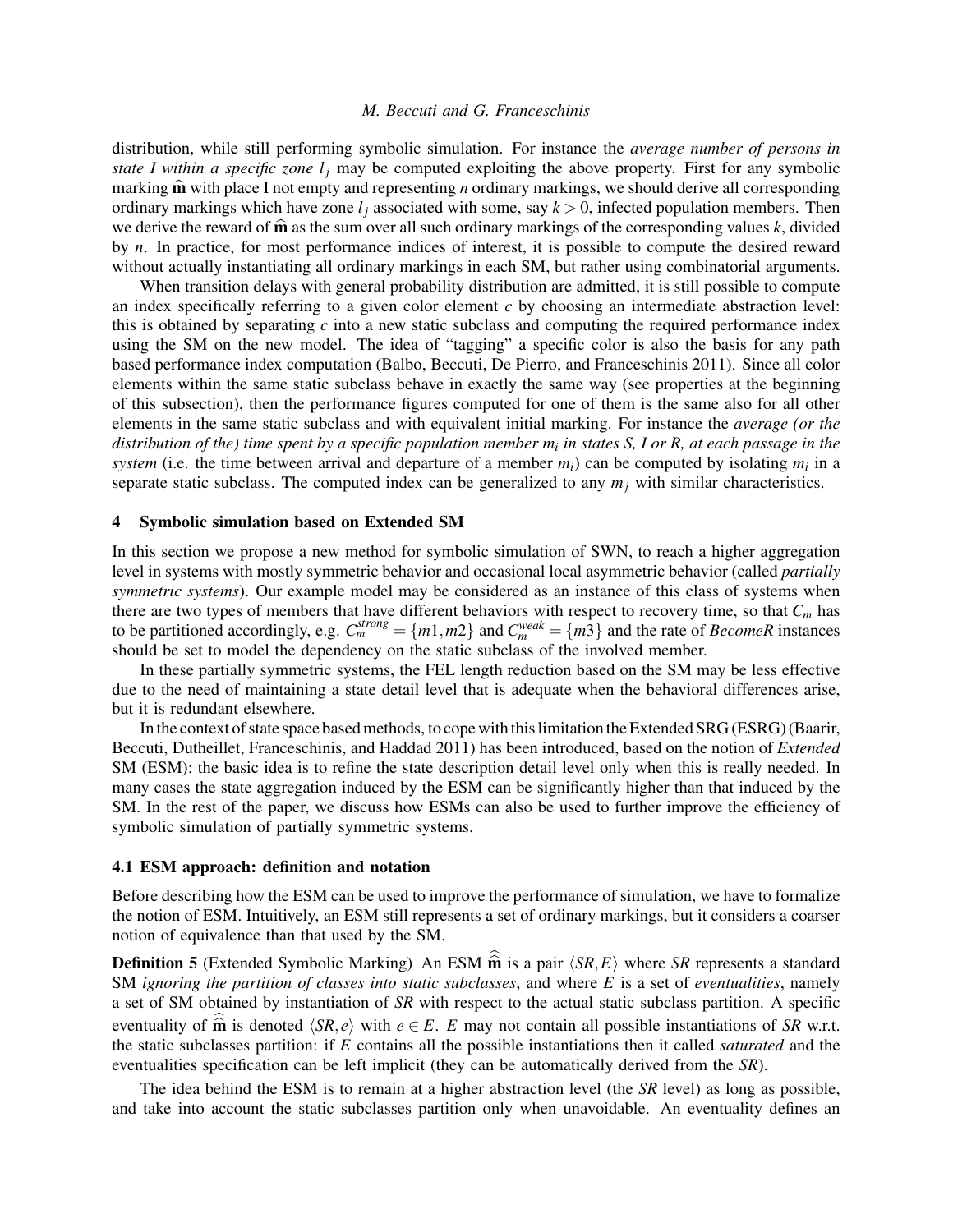distribution, while still performing symbolic simulation. For instance the *average number of persons in state I within a specific zone*  $l_i$  may be computed exploiting the above property. First for any symbolic marking  $\hat{\mathbf{m}}$  with place I not empty and representing *n* ordinary markings, we should derive all corresponding ordinary markings which have zone  $l_i$  associated with some, say  $k > 0$ , infected population members. Then we derive the reward of  $\hat{\mathbf{m}}$  as the sum over all such ordinary markings of the corresponding values  $k$ , divided by *n*. In practice, for most performance indices of interest, it is possible to compute the desired reward without actually instantiating all ordinary markings in each SM, but rather using combinatorial arguments.

When transition delays with general probability distribution are admitted, it is still possible to compute an index specifically referring to a given color element *c* by choosing an intermediate abstraction level: this is obtained by separating *c* into a new static subclass and computing the required performance index using the SM on the new model. The idea of "tagging" a specific color is also the basis for any path based performance index computation [\(Balbo, Beccuti, De Pierro, and Franceschinis 2011\)](#page-12-9). Since all color elements within the same static subclass behave in exactly the same way (see properties at the beginning of this subsection), then the performance figures computed for one of them is the same also for all other elements in the same static subclass and with equivalent initial marking. For instance the *average (or the distribution of the) time spent by a specific population member m<sup>i</sup> in states S, I or R, at each passage in the system* (i.e. the time between arrival and departure of a member  $m_i$ ) can be computed by isolating  $m_i$  in a separate static subclass. The computed index can be generalized to any  $m_j$  with similar characteristics.

# <span id="page-7-0"></span>4 Symbolic simulation based on Extended SM

In this section we propose a new method for symbolic simulation of SWN, to reach a higher aggregation level in systems with mostly symmetric behavior and occasional local asymmetric behavior (called *partially symmetric systems*). Our example model may be considered as an instance of this class of systems when there are two types of members that have different behaviors with respect to recovery time, so that *C<sup>m</sup>* has to be partitioned accordingly, e.g.  $C_m^{strong} = \{m1, m2\}$  and  $C_m^{weak} = \{m3\}$  and the rate of *BecomeR* instances should be set to model the dependency on the static subclass of the involved member.

In these partially symmetric systems, the FEL length reduction based on the SM may be less effective due to the need of maintaining a state detail level that is adequate when the behavioral differences arise, but it is redundant elsewhere.

In the context of state space based methods, to cope with this limitation the Extended SRG (ESRG) [\(Baarir,](#page-12-4) [Beccuti, Dutheillet, Franceschinis, and Haddad 2011\)](#page-12-4) has been introduced, based on the notion of *Extended* SM (ESM): the basic idea is to refine the state description detail level only when this is really needed. In many cases the state aggregation induced by the ESM can be significantly higher than that induced by the SM. In the rest of the paper, we discuss how ESMs can also be used to further improve the efficiency of symbolic simulation of partially symmetric systems.

### 4.1 ESM approach: definition and notation

Before describing how the ESM can be used to improve the performance of simulation, we have to formalize the notion of ESM. Intuitively, an ESM still represents a set of ordinary markings, but it considers a coarser notion of equivalence than that used by the SM.

**Definition 5** (Extended Symbolic Marking) An ESM  $\hat{\mathbf{m}}$  is a pair  $\langle SR, E \rangle$  where *SR* represents a standard SM *ignoring the partition of classes into static subclasses*, and where *E* is a set of *eventualities*, namely a set of SM obtained by instantiation of *SR* with respect to the actual static subclass partition. A specific eventuality of  $\hat{\mathbf{m}}$  is denoted  $\langle SR, e \rangle$  with  $e \in E$ . *E* may not contain all possible instantiations of *SR* w.r.t. the static subclasses partition: if *E* contains all the possible instantiations then it called *saturated* and the eventualities specification can be left implicit (they can be automatically derived from the *SR*).

The idea behind the ESM is to remain at a higher abstraction level (the *SR* level) as long as possible, and take into account the static subclasses partition only when unavoidable. An eventuality defines an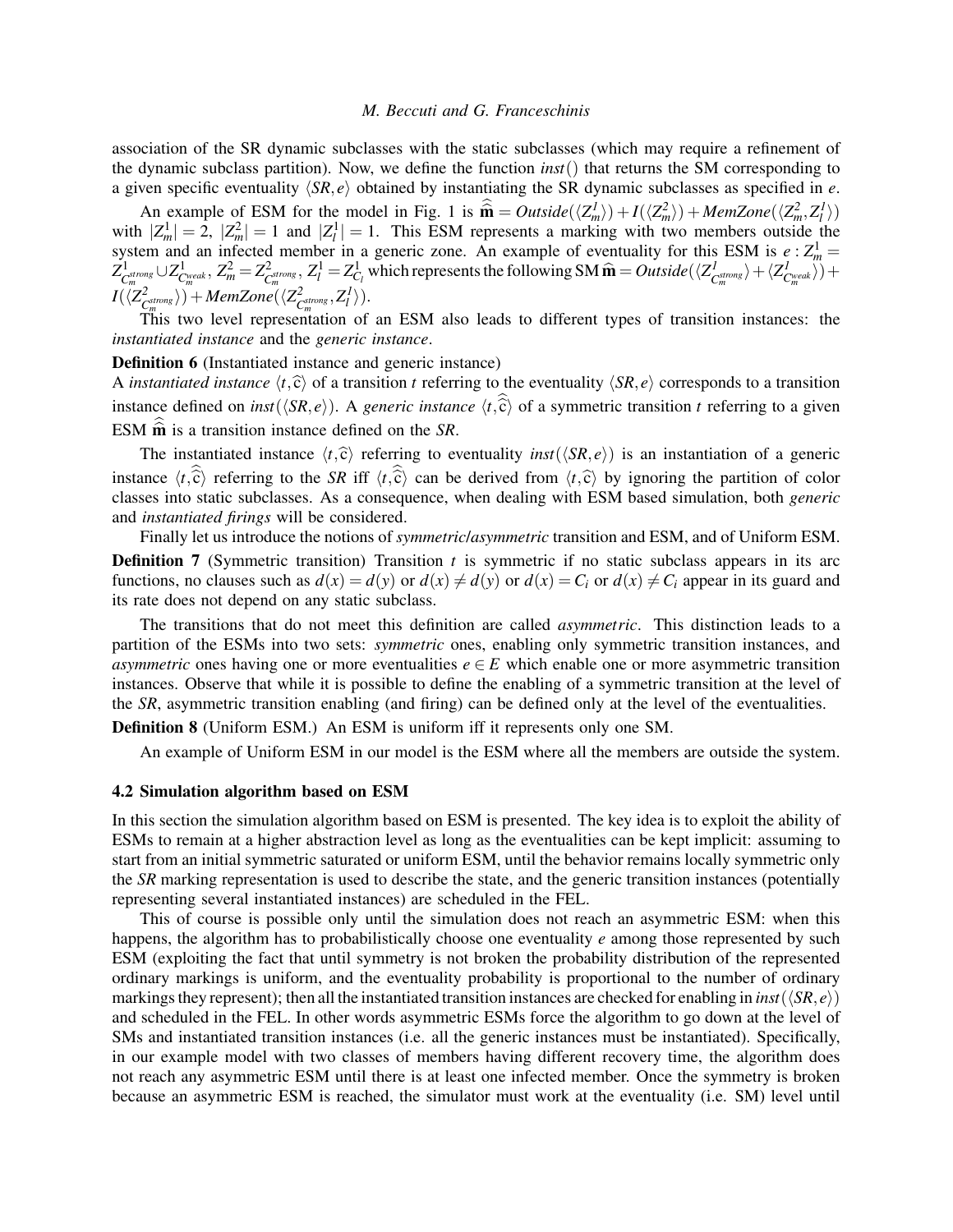association of the SR dynamic subclasses with the static subclasses (which may require a refinement of the dynamic subclass partition). Now, we define the function *inst*() that returns the SM corresponding to a given specific eventuality  $\langle SR, e \rangle$  obtained by instantiating the SR dynamic subclasses as specified in *e*.

An example of ESM for the model in Fig. [1](#page-1-0) is  $\hat{\mathbf{m}} = Outside(\langle Z_n^l \rangle) + I(\langle Z_n^2 \rangle) + MemZone(\langle Z_n^2, Z_l^l \rangle)$ <br> $\mathbf{Z}^1 | = 2$ ,  $|Z_1^2| = 1$  and  $|Z_1^1| = 1$ . This ESM corresponses a merging with two members outside the with  $|Z_m^1| = 2$ ,  $|Z_m^2| = 1$  and  $|Z_l^1| = 1$ . This ESM represents a marking with two members outside the system and an infected member in a generic zone. An example of eventuality for this ESM is  $e: Z_m^1 =$  $Z_c^1$  $Z^1_{C^{strong}_m}\cup Z^1_{C^{weak}_m},\,Z^2_m=Z^2_C$  $C_{m}^{2}$   $Z_{l}^{1} = Z_{l}^{1}$  which represents the following SM  $\widehat{\mathbf{m}} = Outside(\langle Z_{C}^{1} \rangle)$  $\langle Z_{C_m^{strong}}^{1}\rangle+\langle Z_{C_m^{weak}}^{1}\rangle)+$  $I(\langle Z^2 \rangle$  $\binom{2}{C_m^{strong}}$ ) + *MemZone*( $\langle Z_C^2 \rangle$  $\langle \frac{C_{\mathcal{S}^{strong}}}{C_{\mathcal{P}^{off}}} , Z_{l}^{I} \rangle).$ 

This two level representation of an ESM also leads to different types of transition instances: the *instantiated instance* and the *generic instance*.

### Definition 6 (Instantiated instance and generic instance)

A *instantiated instance*  $\langle t, \hat{c} \rangle$  of a transition *t* referring to the eventuality  $\langle SR, e \rangle$  corresponds to a transition instance defined on *inst*( $\langle SR, e \rangle$ ). A *generic instance*  $\langle t, \hat{c} \rangle$  of a symmetric transition *t* referring to a given ESM  $\hat{\hat{\mathbf{m}}}$  is a transition instance defined on the *SR*.

The instantiated instance  $\langle t,\hat{c}\rangle$  referring to eventuality *inst*( $\langle SR, e \rangle$ ) is an instantiation of a generic instance  $\langle t, \hat{c} \rangle$  referring to the *SR* iff  $\langle t, \hat{c} \rangle$  can be derived from  $\langle t, \hat{c} \rangle$  by ignoring the partition of color classes into static subclasses. As a consequence, when dealing with FSM based simulation, classes into static subclasses. As a consequence, when dealing with ESM based simulation, both *generic* and *instantiated firings* will be considered.

Finally let us introduce the notions of *symmetric*/*asymmetric* transition and ESM, and of Uniform ESM. **Definition 7** (Symmetric transition) Transition *t* is symmetric if no static subclass appears in its arc functions, no clauses such as  $d(x) = d(y)$  or  $d(x) \neq d(y)$  or  $d(x) = C_i$  or  $d(x) \neq C_i$  appear in its guard and its rate does not depend on any static subclass.

The transitions that do not meet this definition are called *asymmetric*. This distinction leads to a partition of the ESMs into two sets: *symmetric* ones, enabling only symmetric transition instances, and *asymmetric* ones having one or more eventualities  $e \in E$  which enable one or more asymmetric transition instances. Observe that while it is possible to define the enabling of a symmetric transition at the level of the *SR*, asymmetric transition enabling (and firing) can be defined only at the level of the eventualities.

Definition 8 (Uniform ESM.) An ESM is uniform iff it represents only one SM.

An example of Uniform ESM in our model is the ESM where all the members are outside the system.

#### <span id="page-8-0"></span>4.2 Simulation algorithm based on ESM

In this section the simulation algorithm based on ESM is presented. The key idea is to exploit the ability of ESMs to remain at a higher abstraction level as long as the eventualities can be kept implicit: assuming to start from an initial symmetric saturated or uniform ESM, until the behavior remains locally symmetric only the *SR* marking representation is used to describe the state, and the generic transition instances (potentially representing several instantiated instances) are scheduled in the FEL.

This of course is possible only until the simulation does not reach an asymmetric ESM: when this happens, the algorithm has to probabilistically choose one eventuality *e* among those represented by such ESM (exploiting the fact that until symmetry is not broken the probability distribution of the represented ordinary markings is uniform, and the eventuality probability is proportional to the number of ordinary markings they represent); then all the instantiated transition instances are checked for enabling in *inst*( $\langle SR, e \rangle$ ) and scheduled in the FEL. In other words asymmetric ESMs force the algorithm to go down at the level of SMs and instantiated transition instances (i.e. all the generic instances must be instantiated). Specifically, in our example model with two classes of members having different recovery time, the algorithm does not reach any asymmetric ESM until there is at least one infected member. Once the symmetry is broken because an asymmetric ESM is reached, the simulator must work at the eventuality (i.e. SM) level until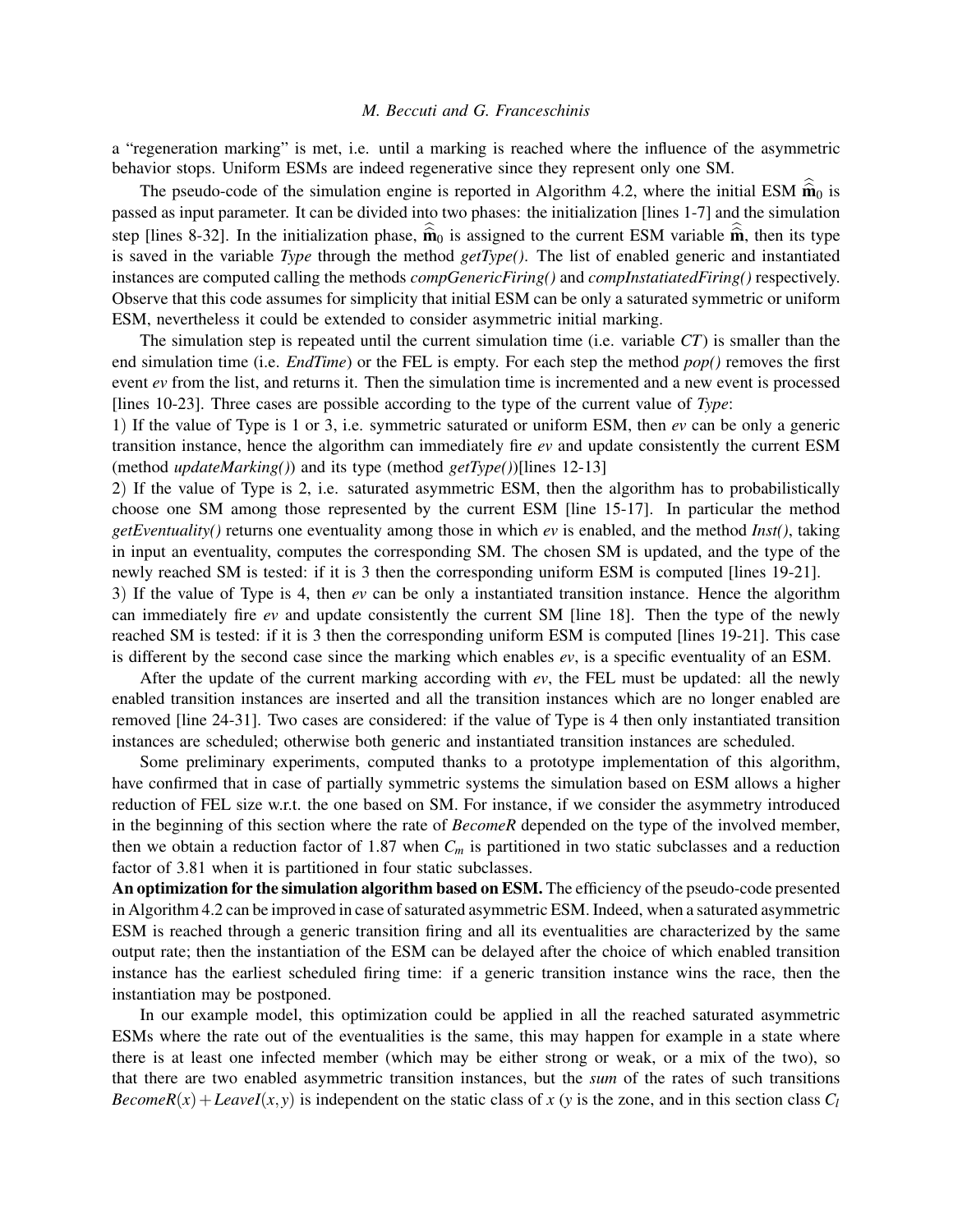a "regeneration marking" is met, i.e. until a marking is reached where the influence of the asymmetric behavior stops. Uniform ESMs are indeed regenerative since they represent only one SM.

The pseudo-code of the simulation engine is reported in Algorithm [4.2,](#page-8-0) where the initial ESM  $\hat{\mathbf{m}}_0$  is passed as input parameter. It can be divided into two phases: the initialization [lines 1-7] and the simulation step [lines 8-32]. In the initialization phase,  $\hat{\hat{\mathbf{m}}}_0$  is assigned to the current ESM variable  $\hat{\hat{\mathbf{m}}}$ , then its type is saved in the variable *Type* through the method *getType()*. The list of enabled generic and instantiated instances are computed calling the methods *compGenericFiring()* and *compInstatiatedFiring()* respectively. Observe that this code assumes for simplicity that initial ESM can be only a saturated symmetric or uniform ESM, nevertheless it could be extended to consider asymmetric initial marking.

The simulation step is repeated until the current simulation time (i.e. variable *CT*) is smaller than the end simulation time (i.e. *EndTime*) or the FEL is empty. For each step the method *pop()* removes the first event *ev* from the list, and returns it. Then the simulation time is incremented and a new event is processed [lines 10-23]. Three cases are possible according to the type of the current value of *Type*:

1) If the value of Type is 1 or 3, i.e. symmetric saturated or uniform ESM, then *ev* can be only a generic transition instance, hence the algorithm can immediately fire *ev* and update consistently the current ESM (method *updateMarking()*) and its type (method *getType()*)[lines 12-13]

2) If the value of Type is 2, i.e. saturated asymmetric ESM, then the algorithm has to probabilistically choose one SM among those represented by the current ESM [line 15-17]. In particular the method *getEventuality()* returns one eventuality among those in which *ev* is enabled, and the method *Inst()*, taking in input an eventuality, computes the corresponding SM. The chosen SM is updated, and the type of the newly reached SM is tested: if it is 3 then the corresponding uniform ESM is computed [lines 19-21].

3) If the value of Type is 4, then *ev* can be only a instantiated transition instance. Hence the algorithm can immediately fire *ev* and update consistently the current SM [line 18]. Then the type of the newly reached SM is tested: if it is 3 then the corresponding uniform ESM is computed [lines 19-21]. This case is different by the second case since the marking which enables *ev*, is a specific eventuality of an ESM.

After the update of the current marking according with *ev*, the FEL must be updated: all the newly enabled transition instances are inserted and all the transition instances which are no longer enabled are removed [line 24-31]. Two cases are considered: if the value of Type is 4 then only instantiated transition instances are scheduled; otherwise both generic and instantiated transition instances are scheduled.

Some preliminary experiments, computed thanks to a prototype implementation of this algorithm, have confirmed that in case of partially symmetric systems the simulation based on ESM allows a higher reduction of FEL size w.r.t. the one based on SM. For instance, if we consider the asymmetry introduced in the beginning of this section where the rate of *BecomeR* depended on the type of the involved member, then we obtain a reduction factor of 1.87 when  $C_m$  is partitioned in two static subclasses and a reduction factor of 3.81 when it is partitioned in four static subclasses.

An optimization for the simulation algorithm based on ESM. The efficiency of the pseudo-code presented in Algorithm [4.2](#page-8-0) can be improved in case of saturated asymmetric ESM. Indeed, when a saturated asymmetric ESM is reached through a generic transition firing and all its eventualities are characterized by the same output rate; then the instantiation of the ESM can be delayed after the choice of which enabled transition instance has the earliest scheduled firing time: if a generic transition instance wins the race, then the instantiation may be postponed.

In our example model, this optimization could be applied in all the reached saturated asymmetric ESMs where the rate out of the eventualities is the same, this may happen for example in a state where there is at least one infected member (which may be either strong or weak, or a mix of the two), so that there are two enabled asymmetric transition instances, but the *sum* of the rates of such transitions *BecomeR*(*x*) + *LeaveI*(*x*, *y*) is independent on the static class of *x* (*y* is the zone, and in this section class  $C_l$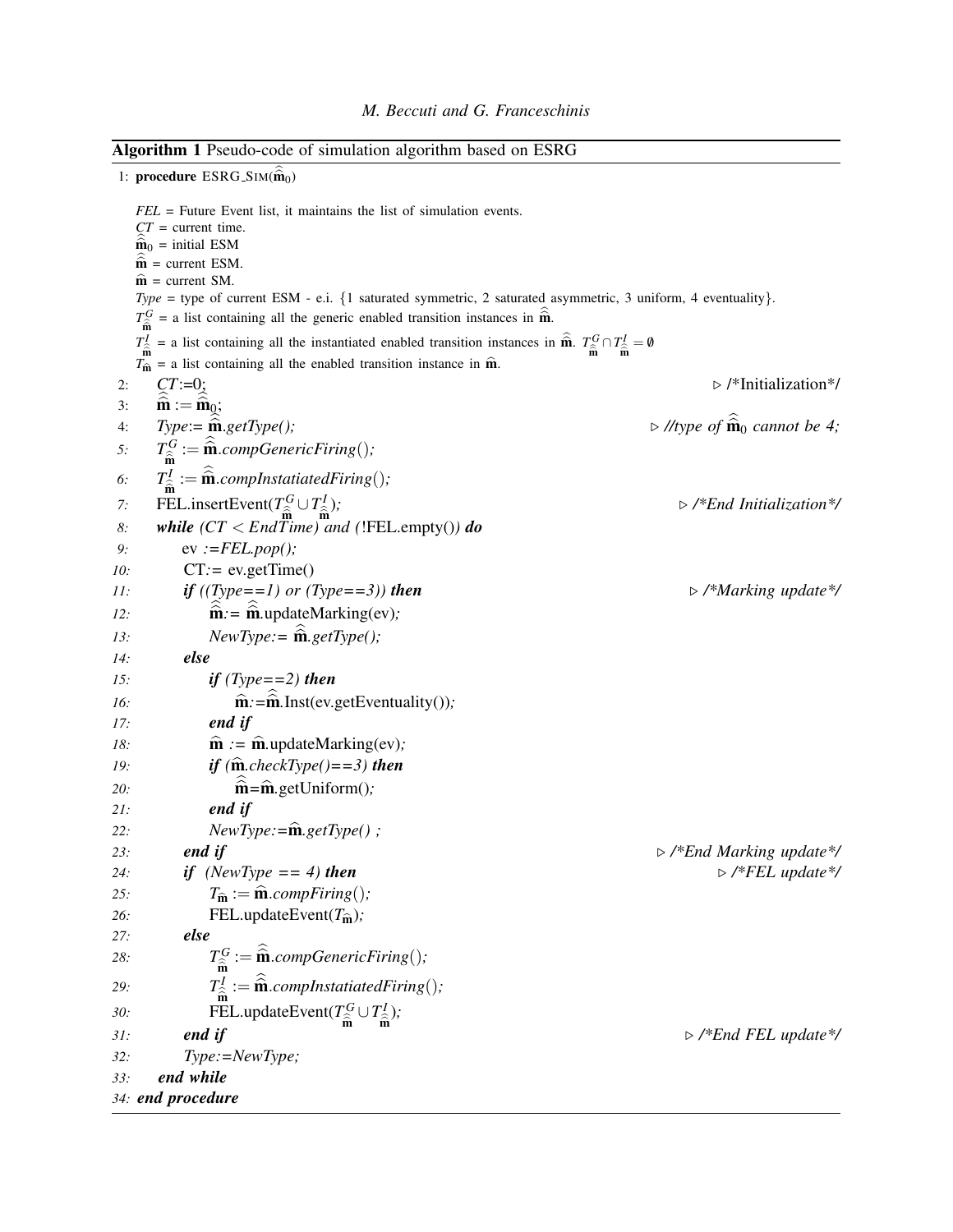# Algorithm 1 Pseudo-code of simulation algorithm based on ESRG

1: **procedure**  $ESRG\_SIM(\hat{m}_0)$ *FEL* = Future Event list, it maintains the list of simulation events. *CT* = current time.  $\hat{\mathbf{m}}_0$  = initial ESM  $\hat{\mathbf{m}}$  = current ESM.  $\widehat{\mathbf{m}}$  = current SM. *Type* = type of current ESM - e.i. {1 saturated symmetric, 2 saturated asymmetric, 3 uniform, 4 eventuality}.  $T_{\hat{\mathbf{m}}}^C$  = a list containing all the generic enabled transition instances in  $\hat{\hat{\mathbf{m}}}$ .  $\hat{\mathbf{T}}_{\mathbb{A}}^{I}$  $\hat{T}_{\hat{\mathbf{m}}} =$  a list containing all the enabled transition instance in  $\hat{\mathbf{m}}$ . = a list containing all the instantiated enabled transition instances in  $\hat{\mathbf{m}}$ .  $T_{\hat{\mathbf{m}}}^G$  $T_{\widehat{\widehat{\mathbf{m}}}}^G \cap T_{\widehat{\widehat{\mathbf{n}}}}^P$  $\hat{\hat{\mathbf{m}}} = \emptyset$ 2:  $CT:=0$ ; 3:  $\hat{\mathbf{m}} := \hat{\mathbf{m}}_0;$ <br>4: Type:=  $\hat{\mathbf{m}}. getType();$ 4:  $Type := \widehat{\mathbf{\hat{m}}}.getType();$ <br>
5:  $T_c^G := \widehat{\mathbf{\hat{m}}}.complementFiring();$ <br> *T***<sub>2</sub>** :=  $\widehat{\mathbf{\hat{m}}}.complementFiring();$ 5:  $T_{\widehat{\widehat{\mathbf{m}}}}^G := \widehat{\mathbf{m}}$ .*compGenericFiring*();  $\begin{matrix} \widehat{\mathbf{m}} \\ \widehat{\mathbf{b}}: \quad T^I_{\widehat{\infty}} \end{matrix}$  $\hat{\hat{\mathbf{m}}} := \hat{\mathbf{m}}$ .compInstatiatedFiring();<br>EI insertEvent( $T^G \cup T^I$ ). *7*: **FEL.insertEvent**( $T^G_{\hat{z}} \cup T^I_{\hat{z}}$  $\delta$ : *while*  $(CT < EndTime)$  and (!FEL.empty()) *do* )*;* . */\*End Initialization\*/ 9:* ev *:=FEL.pop(); 10:* CT*:=* ev.getTime() *11: if* ((Type==1) or (Type==3)) **then**  $\triangleright$  /\*Marking update\*/ *12:*  $\widehat{\mathbf{m}} := \widehat{\mathbf{m}}$ .updateMarking(ev);<br> *13: NewType:* =  $\widehat{\mathbf{m}}$ .eetType(): *13: NewType:* =  $\hat{\mathbf{m}}$ *.getType();*<br>*14: else 14: else 15: if (Type==2) then 16:*  $\hat{\mathbf{m}}$ := $\hat{\hat{\mathbf{m}}}$ .Inst(ev.getEventuality());<br> *17: end if* end if *18:*  $\hat{\mathbf{m}} := \hat{\mathbf{m}}.\text{updateMatrix}(\text{ev});$ <br> *19:*  $\text{if } (\hat{\mathbf{m}}.\text{checkType}() == 3) \text{ then}$ *19: if*  $(\widehat{\mathbf{m}}.\text{checkType}()==3)$  *then*<br>20:  $\widehat{\widehat{\mathbf{m}}} = \widehat{\mathbf{m}}.\text{getUniform}();$ 20:  $\hat{\mathbf{m}} = \hat{\mathbf{m}}$ .getUniform();<br>21: *end if 21: end if 22: NewType:*= $\hat{\mathbf{m}}$ *.getType() ;*<br>*23: end if 23: end if* . */\*End Marking update\*/* 24: *if*  $(NewType == 4)$  **then**  $\triangleright$  /\*FEL update\*/ 25:  $T_{\hat{\mathbf{m}}} := \hat{\mathbf{m}}.\text{comprising}();$ <br>
26: **FEL.updateEvent**( $T_{\hat{\mathbf{m}}};$ 26: FEL.updateEvent( $T_{\hat{\mathbf{m}}}$ )*;*<br>27: *else 27: else 28: T*  $G_{\hat{\hat{\mathbf{n}}}} := \hat{\hat{\mathbf{m}}}$ *.compGenericFiring*()*;*  $\hat{\hat{\mathbf{m}}}$  :=  $\hat{\hat{\mathbf{m}}}$ .*compInstatiatedFiring*()*; 29: T*  $\overrightarrow{30}$ : FEL.updateEvent( $T^G_{\approx}$  $\hat{\mathbf{m}}$  $\cup$   $T^I_{\hat{z}}$ bmb )*; 31: end if* . */\*End FEL update\*/ 32: Type:=NewType; 33: end while 34: end procedure*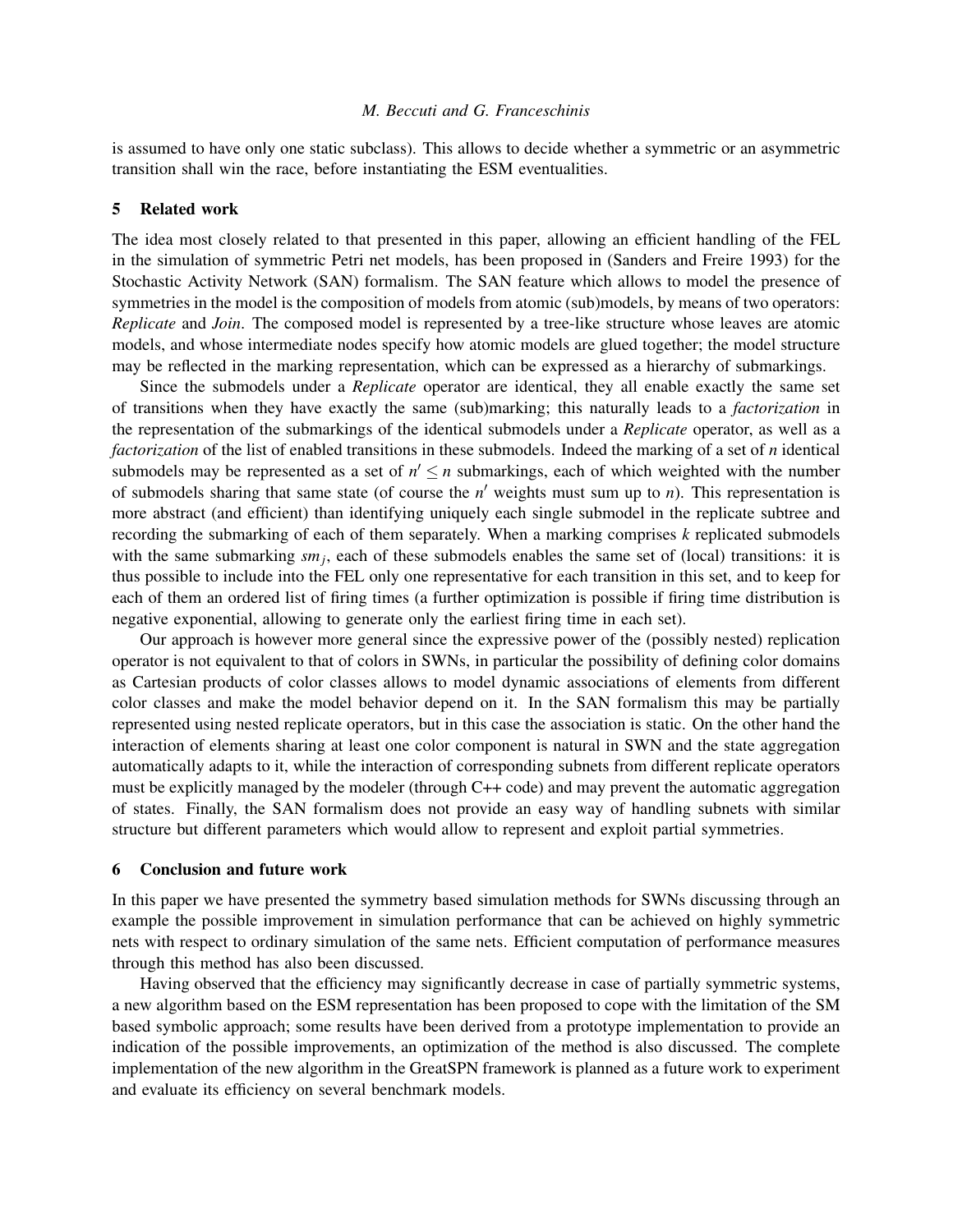is assumed to have only one static subclass). This allows to decide whether a symmetric or an asymmetric transition shall win the race, before instantiating the ESM eventualities.

#### 5 Related work

The idea most closely related to that presented in this paper, allowing an efficient handling of the FEL in the simulation of symmetric Petri net models, has been proposed in [\(Sanders and Freire 1993\)](#page-12-10) for the Stochastic Activity Network (SAN) formalism. The SAN feature which allows to model the presence of symmetries in the model is the composition of models from atomic (sub)models, by means of two operators: *Replicate* and *Join*. The composed model is represented by a tree-like structure whose leaves are atomic models, and whose intermediate nodes specify how atomic models are glued together; the model structure may be reflected in the marking representation, which can be expressed as a hierarchy of submarkings.

Since the submodels under a *Replicate* operator are identical, they all enable exactly the same set of transitions when they have exactly the same (sub)marking; this naturally leads to a *factorization* in the representation of the submarkings of the identical submodels under a *Replicate* operator, as well as a *factorization* of the list of enabled transitions in these submodels. Indeed the marking of a set of *n* identical submodels may be represented as a set of  $n' \leq n$  submarkings, each of which weighted with the number of submodels sharing that same state (of course the  $n'$  weights must sum up to  $n$ ). This representation is more abstract (and efficient) than identifying uniquely each single submodel in the replicate subtree and recording the submarking of each of them separately. When a marking comprises *k* replicated submodels with the same submarking  $sm_j$ , each of these submodels enables the same set of (local) transitions: it is thus possible to include into the FEL only one representative for each transition in this set, and to keep for each of them an ordered list of firing times (a further optimization is possible if firing time distribution is negative exponential, allowing to generate only the earliest firing time in each set).

Our approach is however more general since the expressive power of the (possibly nested) replication operator is not equivalent to that of colors in SWNs, in particular the possibility of defining color domains as Cartesian products of color classes allows to model dynamic associations of elements from different color classes and make the model behavior depend on it. In the SAN formalism this may be partially represented using nested replicate operators, but in this case the association is static. On the other hand the interaction of elements sharing at least one color component is natural in SWN and the state aggregation automatically adapts to it, while the interaction of corresponding subnets from different replicate operators must be explicitly managed by the modeler (through C++ code) and may prevent the automatic aggregation of states. Finally, the SAN formalism does not provide an easy way of handling subnets with similar structure but different parameters which would allow to represent and exploit partial symmetries.

#### 6 Conclusion and future work

In this paper we have presented the symmetry based simulation methods for SWNs discussing through an example the possible improvement in simulation performance that can be achieved on highly symmetric nets with respect to ordinary simulation of the same nets. Efficient computation of performance measures through this method has also been discussed.

Having observed that the efficiency may significantly decrease in case of partially symmetric systems, a new algorithm based on the ESM representation has been proposed to cope with the limitation of the SM based symbolic approach; some results have been derived from a prototype implementation to provide an indication of the possible improvements, an optimization of the method is also discussed. The complete implementation of the new algorithm in the GreatSPN framework is planned as a future work to experiment and evaluate its efficiency on several benchmark models.